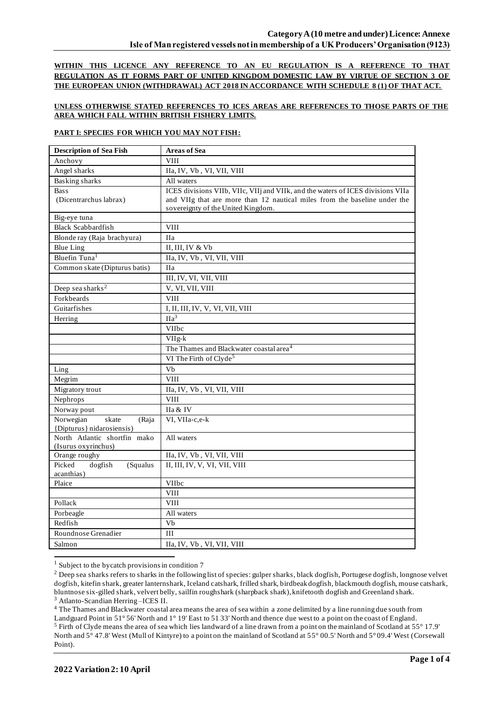**WITHIN THIS LICENCE ANY REFERENCE TO AN EU REGULATION IS A REFERENCE TO THAT REGULATION AS IT FORMS PART OF UNITED KINGDOM DOMESTIC LAW BY VIRTUE OF SECTION 3 OF THE EUROPEAN UNION (WITHDRAWAL) ACT 2018 IN ACCORDANCE WITH SCHEDULE 8 (1) OF THAT ACT.**

## **UNLESS OTHERWISE STATED REFERENCES TO ICES AREAS ARE REFERENCES TO THOSE PARTS OF THE AREA WHICH FALL WITHIN BRITISH FISHERY LIMITS.**

## **PART I: SPECIES FOR WHICH YOU MAY NOT FISH:**

| <b>Description of Sea Fish</b>       | <b>Areas of Sea</b>                                                             |  |  |
|--------------------------------------|---------------------------------------------------------------------------------|--|--|
| Anchovy                              | <b>VIII</b>                                                                     |  |  |
| Angel sharks                         | IIa, IV, Vb, VI, VII, VIII                                                      |  |  |
| <b>Basking sharks</b>                | All waters                                                                      |  |  |
| <b>Bass</b>                          | ICES divisions VIIb, VIIc, VIIj and VIIk, and the waters of ICES divisions VIIa |  |  |
| (Dicentrarchus labrax)               | and VIIg that are more than 12 nautical miles from the baseline under the       |  |  |
|                                      | sovereignty of the United Kingdom.                                              |  |  |
| Big-eye tuna                         |                                                                                 |  |  |
| <b>Black Scabbardfish</b>            | <b>VIII</b>                                                                     |  |  |
| Blonde ray (Raja brachyura)          | <b>IIa</b>                                                                      |  |  |
| <b>Blue Ling</b>                     | II, III, IV & Vb                                                                |  |  |
| Bluefin Tuna <sup>1</sup>            | IIa, IV, Vb, VI, VII, VIII                                                      |  |  |
| Common skate (Dipturus batis)        | <b>IIa</b>                                                                      |  |  |
|                                      | III, IV, VI, VII, VIII                                                          |  |  |
| Deep sea sharks <sup>2</sup>         | V, VI, VII, VIII                                                                |  |  |
| Forkbeards                           | <b>VIII</b>                                                                     |  |  |
| Guitarfishes                         | I, II, III, IV, V, VI, VII, VIII                                                |  |  |
| Herring                              | $\Pi a^3$                                                                       |  |  |
|                                      | <b>VIIbc</b>                                                                    |  |  |
|                                      | VIIg-k                                                                          |  |  |
|                                      | The Thames and Blackwater coastal area <sup>4</sup>                             |  |  |
|                                      | VI The Firth of Clyde <sup>5</sup>                                              |  |  |
| Ling                                 | Vb                                                                              |  |  |
| Megrim                               | <b>VIII</b>                                                                     |  |  |
| Migratory trout                      | IIa, IV, Vb, VI, VII, VIII                                                      |  |  |
| Nephrops                             | <b>VIII</b>                                                                     |  |  |
| Norway pout                          | IIa & IV                                                                        |  |  |
| Norwegian<br>skate<br>(Raja          | VI, VIIa-c,e-k                                                                  |  |  |
| {Dipturus} nidarosiensis)            |                                                                                 |  |  |
| North Atlantic shortfin mako         | All waters                                                                      |  |  |
| (Isurus oxyrinchus)<br>Orange roughy | IIa, IV, Vb, VI, VII, VIII                                                      |  |  |
| Picked<br>dogfish<br>(Squalus        | II, III, IV, V, VI, VII, VIII                                                   |  |  |
| acanthias)                           |                                                                                 |  |  |
| Plaice                               | VIIbc                                                                           |  |  |
|                                      | <b>VIII</b>                                                                     |  |  |
| Pollack                              | <b>VIII</b>                                                                     |  |  |
| Porbeagle                            | All waters                                                                      |  |  |
| Redfish                              | Vb                                                                              |  |  |
| Roundnose Grenadier                  | III                                                                             |  |  |
| Salmon                               | IIa, IV, Vb, VI, VII, VIII                                                      |  |  |

<sup>&</sup>lt;sup>1</sup> Subject to the bycatch provisions in condition 7

<sup>4</sup> The Thames and Blackwater coastal area means the area of sea within a zone delimited by a line running due south from

<sup>&</sup>lt;sup>2</sup> Deep sea sharks refers to sharks in the following list of species: gulper sharks, black dogfish, Portugese dogfish, longnose velvet dogfish, kitefin shark, greater lanternshark, Iceland catshark, frilled shark, birdbeak dogfish, blackmouth dogfish, mouse catshark, bluntnose six-gilled shark, velvert belly, sailfin roughshark (sharpback shark), knifetooth dogfish and Greenland shark. <sup>3</sup> Atlanto-Scandian Herring –ICES II.

Landguard Point in 51° 56' North and 1° 19' East to 51 33' North and thence due west to a point on the coast of England. <sup>5</sup> Firth of Clyde means the area of sea which lies landward of a line drawn from a point on the mainland of Scotland at 55° 17.9' North and 5° 47.8' West (Mull of Kintyre) to a point on the mainland of Scotland at 55° 00.5' North and 5° 09.4' West (Corsewall Point).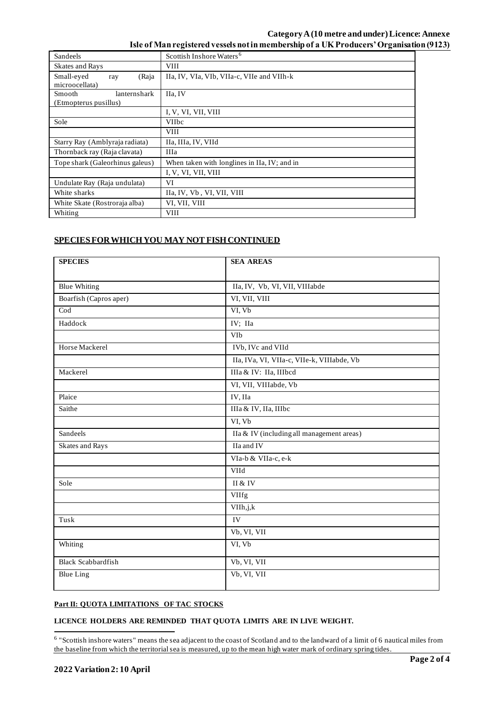## **Category A (10 metre and under)Licence: Annexe Isle of Man registered vessels not in membership of a UK Producers' Organisation (9123)**

| Sandeels                                        | Scottish Inshore Waters <sup>6</sup>         |  |  |
|-------------------------------------------------|----------------------------------------------|--|--|
| Skates and Rays                                 | <b>VIII</b>                                  |  |  |
| Small-eyed<br>(Raja<br>ray<br>microocellata)    | IIa, IV, VIa, VIb, VIIa-c, VIIe and VIIh-k   |  |  |
| Smooth<br>lanternshark<br>(Etmopterus pusillus) | IIa, IV                                      |  |  |
|                                                 | I, V, VI, VII, VIII                          |  |  |
| Sole                                            | <b>VIIbc</b>                                 |  |  |
|                                                 | <b>VIII</b>                                  |  |  |
| Starry Ray (Amblyraja radiata)                  | IIa, IIIa, IV, VIId                          |  |  |
| Thornback ray (Raja clavata)                    | <b>IIIa</b>                                  |  |  |
| Tope shark (Galeorhinus galeus)                 | When taken with longlines in IIa, IV; and in |  |  |
|                                                 | I, V, VI, VII, VIII                          |  |  |
| Undulate Ray (Raja undulata)                    | VI                                           |  |  |
| White sharks                                    | IIa, IV, Vb, VI, VII, VIII                   |  |  |
| White Skate (Rostroraja alba)                   | VI, VII, VIII                                |  |  |
| Whiting                                         | <b>VIII</b>                                  |  |  |

# **SPECIES FOR WHICH YOU MAY NOT FISH CONTINUED**

| <b>SPECIES</b>            | <b>SEA AREAS</b>                           |  |  |
|---------------------------|--------------------------------------------|--|--|
|                           |                                            |  |  |
| <b>Blue Whiting</b>       | IIa, IV, Vb, VI, VII, VIIIabde             |  |  |
| Boarfish (Capros aper)    | VI, VII, VIII                              |  |  |
| $\overline{\text{Cod}}$   | VI, Vb                                     |  |  |
| Haddock                   | IV; IIa                                    |  |  |
|                           | VIb                                        |  |  |
| Horse Mackerel            | IVb, IVc and VIId                          |  |  |
|                           | IIa, IVa, VI, VIIa-c, VIIe-k, VIIIabde, Vb |  |  |
| Mackerel                  | IIIa & IV: IIa, IIIbcd                     |  |  |
|                           | VI, VII, VIIIabde, Vb                      |  |  |
| Plaice                    | IV, IIa                                    |  |  |
| Saithe                    | IIIa & IV, IIa, IIIbc                      |  |  |
|                           | VI, Vb                                     |  |  |
| Sandeels                  | IIa & IV (including all management areas)  |  |  |
| Skates and Rays           | IIa and IV                                 |  |  |
|                           | VIa-b & VIIa-c, e-k                        |  |  |
|                           | VIId                                       |  |  |
| Sole                      | II & IV                                    |  |  |
|                           | VIIfg                                      |  |  |
|                           | VIIh, j, k                                 |  |  |
| Tusk                      | IV                                         |  |  |
|                           | Vb, VI, VII                                |  |  |
| Whiting                   | VI, Vb                                     |  |  |
| <b>Black Scabbardfish</b> | Vb, VI, VII                                |  |  |
| <b>Blue Ling</b>          | Vb, VI, VII                                |  |  |

## **Part II: QUOTA LIMITATIONS OF TAC STOCKS**

#### **LICENCE HOLDERS ARE REMINDED THAT QUOTA LIMITS ARE IN LIVE WEIGHT.**

<sup>&</sup>lt;sup>6</sup> "Scottish inshore waters" means the sea adjacent to the coast of Scotland and to the landward of a limit of 6 nautical miles from the baseline from which the territorial sea is measured, up to the mean high water mark of ordinary spring tides.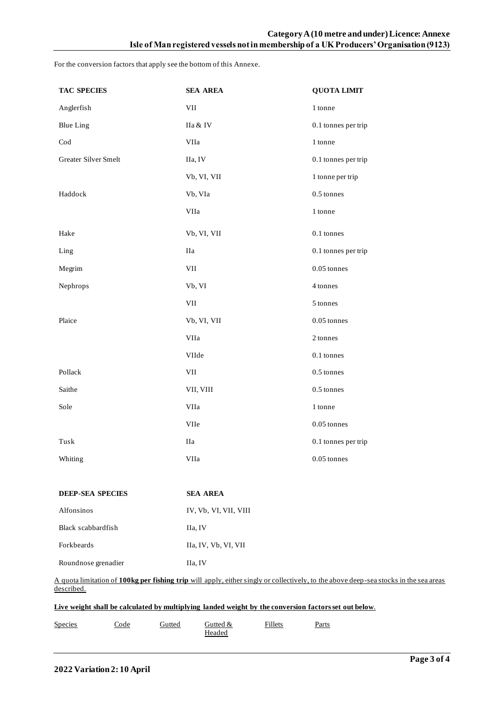For the conversion factors that apply see the bottom of this Annexe.

| <b>TAC SPECIES</b>                                                                                                                                                                                                                                           | <b>SEA AREA</b>       | <b>QUOTA LIMIT</b>  |  |  |
|--------------------------------------------------------------------------------------------------------------------------------------------------------------------------------------------------------------------------------------------------------------|-----------------------|---------------------|--|--|
| Anglerfish                                                                                                                                                                                                                                                   | VII<br>1 tonne        |                     |  |  |
| <b>Blue Ling</b>                                                                                                                                                                                                                                             | IIa & IV              | 0.1 tonnes per trip |  |  |
| $\operatorname{Cod}$                                                                                                                                                                                                                                         | VIIa                  | 1 tonne             |  |  |
| Greater Silver Smelt                                                                                                                                                                                                                                         | IIa, IV               | 0.1 tonnes per trip |  |  |
|                                                                                                                                                                                                                                                              | Vb, VI, VII           | 1 tonne per trip    |  |  |
| Haddock                                                                                                                                                                                                                                                      | Vb, VIa               | 0.5 tonnes          |  |  |
|                                                                                                                                                                                                                                                              | VIIa                  | 1 tonne             |  |  |
| Hake                                                                                                                                                                                                                                                         | Vb, VI, VII           | $0.1$ tonnes        |  |  |
| Ling                                                                                                                                                                                                                                                         | $\rm I Ia$            | 0.1 tonnes per trip |  |  |
| Megrim                                                                                                                                                                                                                                                       | VII                   | $0.05$ tonnes       |  |  |
| Nephrops                                                                                                                                                                                                                                                     | Vb, VI                | 4 tonnes            |  |  |
|                                                                                                                                                                                                                                                              | VII                   | 5 tonnes            |  |  |
| Plaice                                                                                                                                                                                                                                                       | Vb, VI, VII           | $0.05$ tonnes       |  |  |
|                                                                                                                                                                                                                                                              | VIIa                  | 2 tonnes            |  |  |
|                                                                                                                                                                                                                                                              | VIIde                 | 0.1 tonnes          |  |  |
| Pollack                                                                                                                                                                                                                                                      | VII                   | $0.5$ tonnes        |  |  |
| Saithe                                                                                                                                                                                                                                                       | VII, VIII             | 0.5 tonnes          |  |  |
| Sole                                                                                                                                                                                                                                                         | VIIa                  | 1 tonne             |  |  |
|                                                                                                                                                                                                                                                              | VIIe                  | $0.05$ tonnes       |  |  |
| ${\rm Tusk}$                                                                                                                                                                                                                                                 | $\rm I Ia$            | 0.1 tonnes per trip |  |  |
| Whiting                                                                                                                                                                                                                                                      | VIIa                  | $0.05$ tonnes       |  |  |
| <b>DEEP-SEA SPECIES</b>                                                                                                                                                                                                                                      | <b>SEA AREA</b>       |                     |  |  |
| Alfonsinos                                                                                                                                                                                                                                                   | IV, Vb, VI, VII, VIII |                     |  |  |
| Black scabbardfish                                                                                                                                                                                                                                           | IIa, IV               |                     |  |  |
| Forkbeards                                                                                                                                                                                                                                                   | IIa, IV, Vb, VI, VII  |                     |  |  |
| Roundnose grenadier                                                                                                                                                                                                                                          | IIa, IV               |                     |  |  |
| A quota limitation of 100kg per fishing trip will apply, either singly or collectively, to the above deep-sea stocks in the sea areas<br>described.<br>Live weight shall be calculated by multiplying landed weight by the conversion factors set out below. |                       |                     |  |  |
|                                                                                                                                                                                                                                                              |                       |                     |  |  |

| Species | Code | Gutted | $G$ utted $\&$ | illets | Parts<br>____ |  |
|---------|------|--------|----------------|--------|---------------|--|
|         |      |        | Headed         |        |               |  |